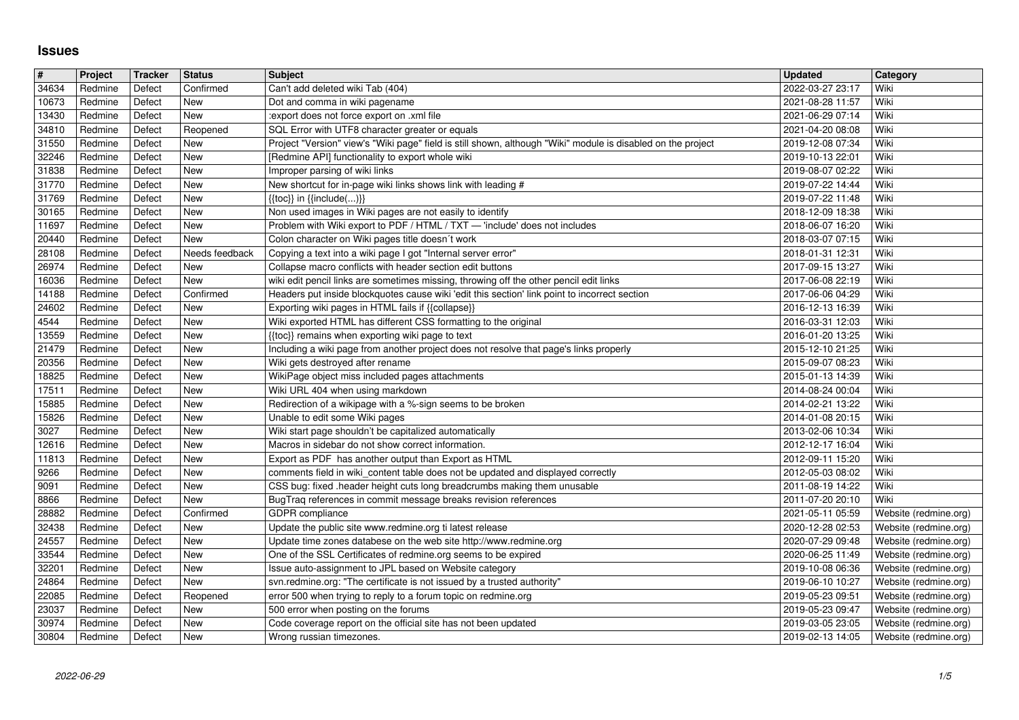## **Issues**

| $\sqrt{\frac{4}{15}}$<br>34634 | Project<br>Redmine | Tracker<br>Defect | <b>Status</b><br>Confirmed | <b>Subject</b><br>Can't add deleted wiki Tab (404)                                                                                                              | <b>Updated</b><br>2022-03-27 23:17   | Category<br>Wiki                               |
|--------------------------------|--------------------|-------------------|----------------------------|-----------------------------------------------------------------------------------------------------------------------------------------------------------------|--------------------------------------|------------------------------------------------|
| 10673                          | Redmine            | Defect            | New                        | Dot and comma in wiki pagename                                                                                                                                  | 2021-08-28 11:57                     | Wiki                                           |
| 13430                          | Redmine            | Defect            | New                        | :export does not force export on .xml file                                                                                                                      | 2021-06-29 07:14                     | Wiki                                           |
| 34810<br>31550                 | Redmine<br>Redmine | Defect<br>Defect  | Reopened<br>New            | SQL Error with UTF8 character greater or equals<br>Project "Version" view's "Wiki page" field is still shown, although "Wiki" module is disabled on the project | 2021-04-20 08:08<br>2019-12-08 07:34 | Wiki<br>Wiki                                   |
| 32246                          | Redmine            | Defect            | New                        | [Redmine API] functionality to export whole wiki                                                                                                                | 2019-10-13 22:01                     | Wiki                                           |
| 31838<br>31770                 | Redmine<br>Redmine | Defect<br>Defect  | New<br>New                 | Improper parsing of wiki links<br>New shortcut for in-page wiki links shows link with leading #                                                                 | 2019-08-07 02:22<br>2019-07-22 14:44 | Wiki<br>Wiki                                   |
| 31769                          | Redmine            | Defect            | New                        | {{toc}} in {{include()}}                                                                                                                                        | 2019-07-22 11:48                     | Wiki                                           |
| 30165<br>11697                 | Redmine<br>Redmine | Defect<br>Defect  | New<br>New                 | Non used images in Wiki pages are not easily to identify<br>Problem with Wiki export to PDF / HTML / TXT - 'include' does not includes                          | 2018-12-09 18:38<br>2018-06-07 16:20 | Wiki<br>Wiki                                   |
| 20440                          | Redmine            | Defect            | New                        | Colon character on Wiki pages title doesn't work                                                                                                                | 2018-03-07 07:15                     | Wiki                                           |
| 28108<br>26974                 | Redmine<br>Redmine | Defect<br>Defect  | Needs feedback<br>New      | Copying a text into a wiki page I got "Internal server error"<br>Collapse macro conflicts with header section edit buttons                                      | 2018-01-31 12:31<br>2017-09-15 13:27 | Wiki<br>Wiki                                   |
| 16036                          | Redmine            | Defect            | New                        | wiki edit pencil links are sometimes missing, throwing off the other pencil edit links                                                                          | 2017-06-08 22:19                     | Wiki                                           |
| 14188<br>24602                 | Redmine<br>Redmine | Defect<br>Defect  | Confirmed<br>New           | Headers put inside blockquotes cause wiki 'edit this section' link point to incorrect section<br>Exporting wiki pages in HTML fails if {{collapse}}             | 2017-06-06 04:29<br>2016-12-13 16:39 | Wiki<br>Wiki                                   |
| 4544                           | Redmine            | Defect            | New                        | Wiki exported HTML has different CSS formatting to the original                                                                                                 | 2016-03-31 12:03                     | Wiki                                           |
| 13559<br>21479                 | Redmine<br>Redmine | Defect<br>Defect  | New<br>New                 | {{toc}} remains when exporting wiki page to text<br>Including a wiki page from another project does not resolve that page's links properly                      | 2016-01-20 13:25<br>2015-12-10 21:25 | Wiki<br>Wiki                                   |
| 20356                          | Redmine            | Defect            | New                        | Wiki gets destroyed after rename                                                                                                                                | 2015-09-07 08:23                     | Wiki                                           |
| 18825<br>17511                 | Redmine<br>Redmine | Defect<br>Defect  | New<br>New                 | WikiPage object miss included pages attachments<br>Wiki URL 404 when using markdown                                                                             | 2015-01-13 14:39<br>2014-08-24 00:04 | Wiki<br>Wiki                                   |
| 15885                          | Redmine            | Defect            | New                        | Redirection of a wikipage with a %-sign seems to be broken                                                                                                      | 2014-02-21 13:22                     | Wiki                                           |
| 15826<br>3027                  | Redmine<br>Redmine | Defect<br>Defect  | New<br>New                 | Unable to edit some Wiki pages<br>Wiki start page shouldn't be capitalized automatically                                                                        | 2014-01-08 20:15<br>2013-02-06 10:34 | Wiki<br>Wiki                                   |
| 12616                          | Redmine            | Defect            | New                        | Macros in sidebar do not show correct information.                                                                                                              | 2012-12-17 16:04                     | Wiki                                           |
| 11813<br>9266                  | Redmine<br>Redmine | Defect<br>Defect  | New<br>New                 | Export as PDF has another output than Export as HTML<br>comments field in wiki_content table does not be updated and displayed correctly                        | 2012-09-11 15:20<br>2012-05-03 08:02 | Wiki<br>Wiki                                   |
| 9091                           | Redmine            | Defect            | New                        | CSS bug: fixed .header height cuts long breadcrumbs making them unusable                                                                                        | 2011-08-19 14:22                     | Wiki                                           |
| 8866<br>28882                  | Redmine<br>Redmine | Defect<br>Defect  | New<br>Confirmed           | BugTraq references in commit message breaks revision references<br>GDPR compliance                                                                              | 2011-07-20 20:10<br>2021-05-11 05:59 | Wiki<br>Website (redmine.org)                  |
| 32438                          | Redmine            | Defect            | New                        | Update the public site www.redmine.org ti latest release                                                                                                        | 2020-12-28 02:53                     | Website (redmine.org)                          |
| 24557<br>33544                 | Redmine<br>Redmine | Defect<br>Defect  | New<br>New                 | Update time zones databese on the web site http://www.redmine.org<br>One of the SSL Certificates of redmine.org seems to be expired                             | 2020-07-29 09:48<br>2020-06-25 11:49 | Website (redmine.org)<br>Website (redmine.org) |
| 32201                          | Redmine            | Defect            | New                        | Issue auto-assignment to JPL based on Website category                                                                                                          | 2019-10-08 06:36                     | Website (redmine.org)                          |
| 24864<br>22085                 | Redmine<br>Redmine | Defect<br>Defect  | New<br>Reopened            | svn.redmine.org: "The certificate is not issued by a trusted authority"<br>error 500 when trying to reply to a forum topic on redmine.org                       | 2019-06-10 10:27<br>2019-05-23 09:51 | Website (redmine.org)<br>Website (redmine.org) |
| 23037                          | Redmine            | Defect            | New                        | 500 error when posting on the forums                                                                                                                            | 2019-05-23 09:47                     | Website (redmine.org)                          |
| 30974<br>30804                 | Redmine<br>Redmine | Defect<br>Defect  | New<br>New                 | Code coverage report on the official site has not been updated<br>Wrong russian timezones.                                                                      | 2019-03-05 23:05<br>2019-02-13 14:05 | Website (redmine.org)<br>Website (redmine.org) |
|                                |                    |                   |                            |                                                                                                                                                                 |                                      |                                                |
|                                |                    |                   |                            |                                                                                                                                                                 |                                      |                                                |
|                                |                    |                   |                            |                                                                                                                                                                 |                                      |                                                |
|                                |                    |                   |                            |                                                                                                                                                                 |                                      |                                                |
|                                |                    |                   |                            |                                                                                                                                                                 |                                      |                                                |
|                                |                    |                   |                            |                                                                                                                                                                 |                                      |                                                |
|                                |                    |                   |                            |                                                                                                                                                                 |                                      |                                                |
|                                |                    |                   |                            |                                                                                                                                                                 |                                      |                                                |
|                                |                    |                   |                            |                                                                                                                                                                 |                                      |                                                |
|                                |                    |                   |                            |                                                                                                                                                                 |                                      |                                                |
|                                |                    |                   |                            |                                                                                                                                                                 |                                      |                                                |
|                                |                    |                   |                            |                                                                                                                                                                 |                                      |                                                |
|                                |                    |                   |                            |                                                                                                                                                                 |                                      |                                                |
|                                |                    |                   |                            |                                                                                                                                                                 |                                      |                                                |
|                                |                    |                   |                            |                                                                                                                                                                 |                                      |                                                |
|                                |                    |                   |                            |                                                                                                                                                                 |                                      |                                                |
|                                |                    |                   |                            |                                                                                                                                                                 |                                      |                                                |
|                                |                    |                   |                            |                                                                                                                                                                 |                                      |                                                |
|                                |                    |                   |                            |                                                                                                                                                                 |                                      |                                                |
|                                |                    |                   |                            |                                                                                                                                                                 |                                      |                                                |
|                                |                    |                   |                            |                                                                                                                                                                 |                                      |                                                |
|                                |                    |                   |                            |                                                                                                                                                                 |                                      |                                                |
|                                |                    |                   |                            |                                                                                                                                                                 |                                      |                                                |
|                                |                    |                   |                            |                                                                                                                                                                 |                                      |                                                |
|                                |                    |                   |                            |                                                                                                                                                                 |                                      |                                                |
|                                |                    |                   |                            |                                                                                                                                                                 |                                      |                                                |
|                                |                    |                   |                            |                                                                                                                                                                 |                                      |                                                |
|                                |                    |                   |                            |                                                                                                                                                                 |                                      |                                                |
|                                |                    |                   |                            |                                                                                                                                                                 |                                      |                                                |
|                                |                    |                   |                            |                                                                                                                                                                 |                                      |                                                |
|                                |                    |                   |                            |                                                                                                                                                                 |                                      |                                                |
|                                |                    |                   |                            |                                                                                                                                                                 |                                      |                                                |
|                                |                    |                   |                            |                                                                                                                                                                 |                                      |                                                |
|                                |                    |                   |                            |                                                                                                                                                                 |                                      |                                                |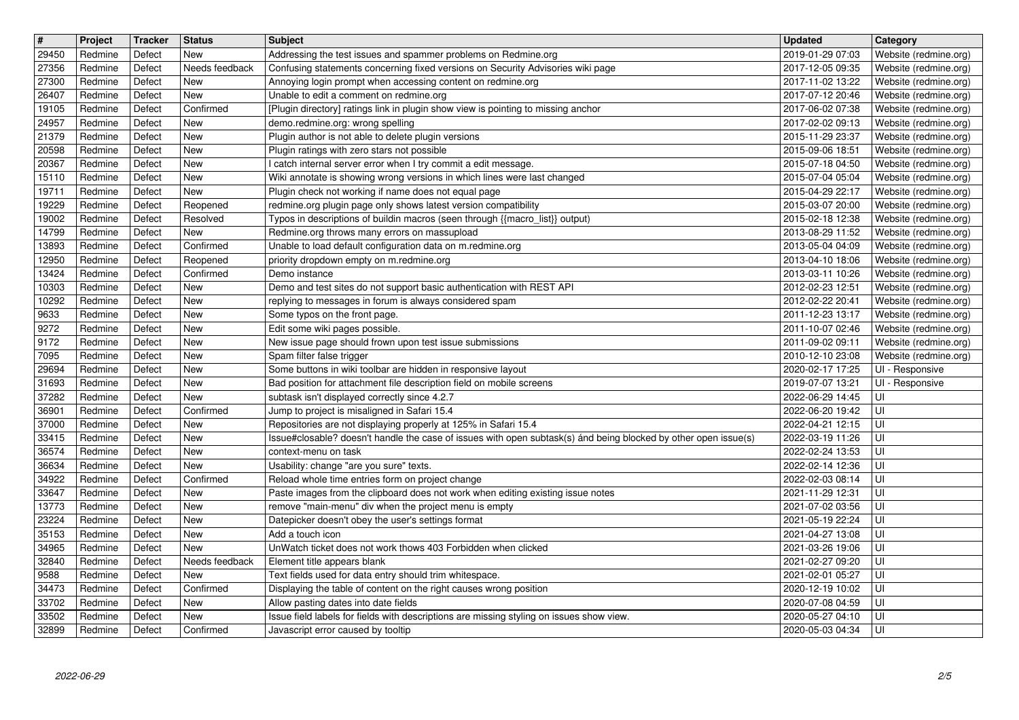| $\overline{\boldsymbol{H}}$ | Project            | Tracker          | <b>Status</b>          | Subject                                                                                                                                           | <b>Updated</b>                       | Category                                       |
|-----------------------------|--------------------|------------------|------------------------|---------------------------------------------------------------------------------------------------------------------------------------------------|--------------------------------------|------------------------------------------------|
| 29450<br>27356              | Redmine<br>Redmine | Defect<br>Defect | New<br>Needs feedback  | Addressing the test issues and spammer problems on Redmine.org<br>Confusing statements concerning fixed versions on Security Advisories wiki page | 2019-01-29 07:03<br>2017-12-05 09:35 | Website (redmine.org)<br>Website (redmine.org) |
| 27300                       | Redmine            | Defect           | New                    | Annoying login prompt when accessing content on redmine.org                                                                                       | 2017-11-02 13:22                     | Website (redmine.org)                          |
| 26407<br>19105              | Redmine<br>Redmine | Defect<br>Defect | New<br>Confirmed       | Unable to edit a comment on redmine.org<br>[Plugin directory] ratings link in plugin show view is pointing to missing anchor                      | 2017-07-12 20:46<br>2017-06-02 07:38 | Website (redmine.org)<br>Website (redmine.org) |
| 24957                       | Redmine            | Defect           | New                    | demo.redmine.org: wrong spelling                                                                                                                  | 2017-02-02 09:13                     | Website (redmine.org)                          |
| 21379<br>20598              | Redmine<br>Redmine | Defect<br>Defect | New<br>New             | Plugin author is not able to delete plugin versions<br>Plugin ratings with zero stars not possible                                                | 2015-11-29 23:37<br>2015-09-06 18:51 | Website (redmine.org)<br>Website (redmine.org) |
| 20367                       | Redmine            | Defect           | New                    | I catch internal server error when I try commit a edit message.                                                                                   | 2015-07-18 04:50                     | Website (redmine.org)                          |
| 15110<br>19711              | Redmine<br>Redmine | Defect<br>Defect | New<br><b>New</b>      | Wiki annotate is showing wrong versions in which lines were last changed<br>Plugin check not working if name does not equal page                  | 2015-07-04 05:04<br>2015-04-29 22:17 | Website (redmine.org)<br>Website (redmine.org) |
| 19229                       | Redmine            | Defect           | Reopened               | redmine.org plugin page only shows latest version compatibility                                                                                   | 2015-03-07 20:00                     | Website (redmine.org)                          |
| 19002<br>14799              | Redmine<br>Redmine | Defect<br>Defect | Resolved<br><b>New</b> | Typos in descriptions of buildin macros (seen through {{macro_list}} output)<br>Redmine.org throws many errors on massupload                      | 2015-02-18 12:38<br>2013-08-29 11:52 | Website (redmine.org)<br>Website (redmine.org) |
| 13893                       | Redmine            | Defect           | Confirmed              | Unable to load default configuration data on m.redmine.org                                                                                        | 2013-05-04 04:09                     | Website (redmine.org)                          |
| 12950<br>13424              | Redmine<br>Redmine | Defect<br>Defect | Reopened<br>Confirmed  | priority dropdown empty on m.redmine.org<br>Demo instance                                                                                         | 2013-04-10 18:06<br>2013-03-11 10:26 | Website (redmine.org)<br>Website (redmine.org) |
| 10303                       | Redmine            | Defect           | New                    | Demo and test sites do not support basic authentication with REST API                                                                             | 2012-02-23 12:51                     | Website (redmine.org)                          |
| 10292<br>9633               | Redmine<br>Redmine | Defect<br>Defect | New<br><b>New</b>      | replying to messages in forum is always considered spam                                                                                           | 2012-02-22 20:41<br>2011-12-23 13:17 | Website (redmine.org)                          |
| 9272                        | Redmine            | Defect           | New                    | Some typos on the front page.<br>Edit some wiki pages possible.                                                                                   | 2011-10-07 02:46                     | Website (redmine.org)<br>Website (redmine.org) |
| 9172                        | Redmine            | Defect           | New                    | New issue page should frown upon test issue submissions                                                                                           | 2011-09-02 09:11                     | Website (redmine.org)                          |
| 7095<br>29694               | Redmine<br>Redmine | Defect<br>Defect | New<br><b>New</b>      | Spam filter false trigger<br>Some buttons in wiki toolbar are hidden in responsive layout                                                         | 2010-12-10 23:08<br>2020-02-17 17:25 | Website (redmine.org)<br>UI - Responsive       |
| 31693                       | Redmine            | Defect           | New                    | Bad position for attachment file description field on mobile screens                                                                              | 2019-07-07 13:21                     | UI - Responsive                                |
| 37282<br>36901              | Redmine<br>Redmine | Defect<br>Defect | New<br>Confirmed       | subtask isn't displayed correctly since 4.2.7<br>Jump to project is misaligned in Safari 15.4                                                     | 2022-06-29 14:45<br>2022-06-20 19:42 | UI<br>UI                                       |
| 37000                       | Redmine            | Defect           | New                    | Repositories are not displaying properly at 125% in Safari 15.4                                                                                   | 2022-04-21 12:15                     | UI                                             |
| 33415<br>36574              | Redmine<br>Redmine | Defect<br>Defect | New<br>New             | Issue#closable? doesn't handle the case of issues with open subtask(s) ánd being blocked by other open issue(s)<br>context-menu on task           | 2022-03-19 11:26<br>2022-02-24 13:53 | UI<br>UI                                       |
| 36634                       | Redmine            | Defect           | New                    | Usability: change "are you sure" texts.                                                                                                           | 2022-02-14 12:36                     | UI                                             |
| 34922<br>33647              | Redmine<br>Redmine | Defect<br>Defect | Confirmed<br>New       | Reload whole time entries form on project change<br>Paste images from the clipboard does not work when editing existing issue notes               | 2022-02-03 08:14<br>2021-11-29 12:31 | UI<br>UI                                       |
| 13773                       | Redmine            | Defect           | New                    | remove "main-menu" div when the project menu is empty                                                                                             | 2021-07-02 03:56                     | UI                                             |
| 23224<br>35153              | Redmine<br>Redmine | Defect<br>Defect | New<br>New             | Datepicker doesn't obey the user's settings format<br>Add a touch icon                                                                            | 2021-05-19 22:24<br>2021-04-27 13:08 | UI<br>UI                                       |
| 34965                       | Redmine            | Defect           | <b>New</b>             | UnWatch ticket does not work thows 403 Forbidden when clicked                                                                                     | 2021-03-26 19:06                     | UI                                             |
| 32840<br>9588               | Redmine<br>Redmine | Defect<br>Defect | Needs feedback<br>New  | Element title appears blank<br>Text fields used for data entry should trim whitespace.                                                            | 2021-02-27 09:20<br>2021-02-01 05:27 | UI<br> U                                       |
| 34473                       | Redmine            | Defect           | Confirmed              | Displaying the table of content on the right causes wrong position                                                                                | 2020-12-19 10:02                     | l UI                                           |
| 33702                       | Redmine            | Defect           | New                    | Allow pasting dates into date fields<br>Issue field labels for fields with descriptions are missing styling on issues show view.                  | 2020-07-08 04:59                     | l Ul<br>l UI                                   |
| 33502<br>32899              | Redmine<br>Redmine | Defect<br>Defect | New<br>Confirmed       | Javascript error caused by tooltip                                                                                                                | 2020-05-27 04:10<br>2020-05-03 04:34 | l Ul                                           |
|                             |                    |                  |                        |                                                                                                                                                   |                                      |                                                |
|                             |                    |                  |                        |                                                                                                                                                   |                                      |                                                |
|                             |                    |                  |                        |                                                                                                                                                   |                                      |                                                |
|                             |                    |                  |                        |                                                                                                                                                   |                                      |                                                |
|                             |                    |                  |                        |                                                                                                                                                   |                                      |                                                |
|                             |                    |                  |                        |                                                                                                                                                   |                                      |                                                |
|                             |                    |                  |                        |                                                                                                                                                   |                                      |                                                |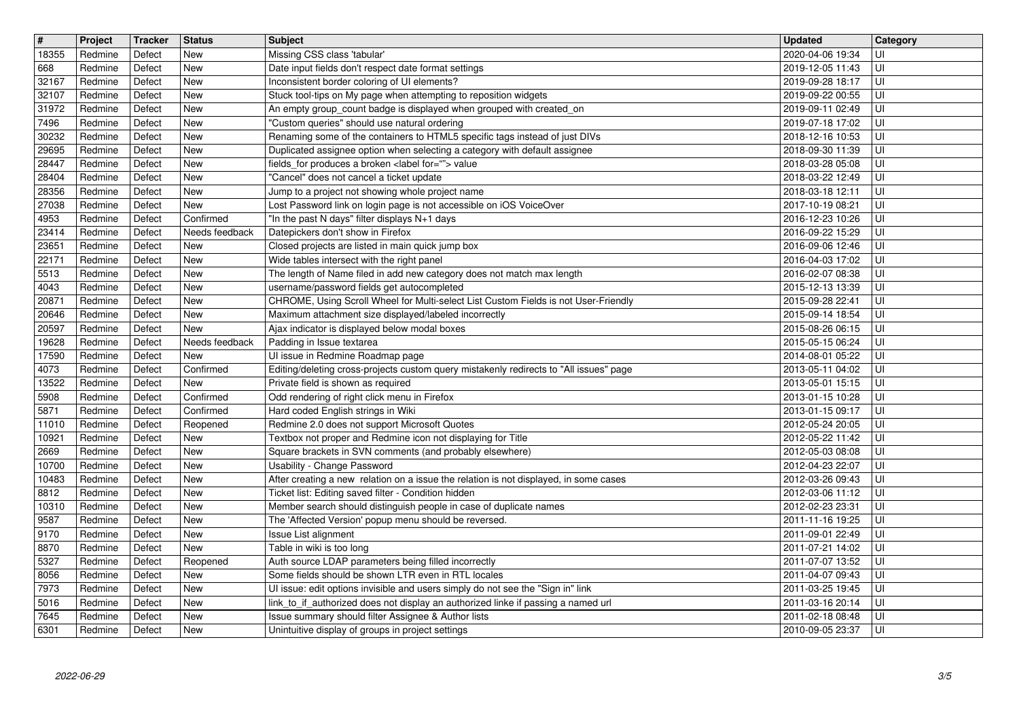| $\overline{\boldsymbol{H}}$ | Project            | Tracker          | <b>Status</b>            | <b>Subject</b>                                                                                                                          | <b>Updated</b>                       | Category   |
|-----------------------------|--------------------|------------------|--------------------------|-----------------------------------------------------------------------------------------------------------------------------------------|--------------------------------------|------------|
| 18355<br>668                | Redmine<br>Redmine | Defect<br>Defect | <b>New</b><br><b>New</b> | Missing CSS class 'tabular'<br>Date input fields don't respect date format settings                                                     | 2020-04-06 19:34<br>2019-12-05 11:43 | UI<br>UI   |
| 32167                       | Redmine            | Defect           | <b>New</b>               | Inconsistent border coloring of UI elements?                                                                                            | 2019-09-28 18:17                     | UI         |
| 32107                       | Redmine            | Defect           | <b>New</b>               | Stuck tool-tips on My page when attempting to reposition widgets                                                                        | 2019-09-22 00:55                     | UI         |
| 31972<br>7496               | Redmine<br>Redmine | Defect<br>Defect | <b>New</b><br><b>New</b> | An empty group_count badge is displayed when grouped with created_on<br>"Custom queries" should use natural ordering                    | 2019-09-11 02:49<br>2019-07-18 17:02 | UI<br>UI   |
| 30232                       | Redmine            | Defect           | <b>New</b>               | Renaming some of the containers to HTML5 specific tags instead of just DIVs                                                             | 2018-12-16 10:53                     | UI         |
| 29695<br>28447              | Redmine<br>Redmine | Defect<br>Defect | <b>New</b><br><b>New</b> | Duplicated assignee option when selecting a category with default assignee<br>fields_for produces a broken <label for=""> value</label> | 2018-09-30 11:39<br>2018-03-28 05:08 | UI<br>UI   |
| 28404                       | Redmine            | Defect           | <b>New</b>               | "Cancel" does not cancel a ticket update                                                                                                | 2018-03-22 12:49                     | UI         |
| 28356                       | Redmine            | Defect           | <b>New</b>               | Jump to a project not showing whole project name                                                                                        | 2018-03-18 12:11                     | UI         |
| 27038<br>4953               | Redmine<br>Redmine | Defect<br>Defect | <b>New</b><br>Confirmed  | Lost Password link on login page is not accessible on iOS VoiceOver<br>"In the past N days" filter displays N+1 days                    | 2017-10-19 08:21<br>2016-12-23 10:26 | UI<br>UI   |
| 23414                       | Redmine            | Defect           | Needs feedback           | Datepickers don't show in Firefox                                                                                                       | 2016-09-22 15:29                     | UI         |
| 23651                       | Redmine            | Defect           | <b>New</b>               | Closed projects are listed in main quick jump box                                                                                       | 2016-09-06 12:46                     | UI         |
| 22171<br>5513               | Redmine<br>Redmine | Defect<br>Defect | <b>New</b><br><b>New</b> | Wide tables intersect with the right panel<br>The length of Name filed in add new category does not match max length                    | 2016-04-03 17:02<br>2016-02-07 08:38 | UI<br>UI   |
| 4043                        | Redmine            | Defect           | <b>New</b>               | username/password fields get autocompleted                                                                                              | 2015-12-13 13:39                     | UI         |
| 20871                       | Redmine            | Defect           | New                      | CHROME, Using Scroll Wheel for Multi-select List Custom Fields is not User-Friendly                                                     | 2015-09-28 22:41                     | UI         |
| 20646<br>20597              | Redmine<br>Redmine | Defect<br>Defect | <b>New</b><br><b>New</b> | Maximum attachment size displayed/labeled incorrectly<br>Ajax indicator is displayed below modal boxes                                  | 2015-09-14 18:54<br>2015-08-26 06:15 | UI<br>UI   |
| 19628                       | Redmine            | Defect           | Needs feedback           | Padding in Issue textarea                                                                                                               | 2015-05-15 06:24                     | UI         |
| 17590<br>4073               | Redmine<br>Redmine | Defect<br>Defect | <b>New</b><br>Confirmed  | Ul issue in Redmine Roadmap page<br>Editing/deleting cross-projects custom query mistakenly redirects to "All issues" page              | 2014-08-01 05:22<br>2013-05-11 04:02 | UI<br>UI   |
| 13522                       | Redmine            | Defect           | <b>New</b>               | Private field is shown as required                                                                                                      | 2013-05-01 15:15                     | UI         |
| 5908                        | Redmine            | Defect           | Confirmed                | Odd rendering of right click menu in Firefox                                                                                            | 2013-01-15 10:28                     | UI         |
| 5871<br>11010               | Redmine<br>Redmine | Defect<br>Defect | Confirmed<br>Reopened    | Hard coded English strings in Wiki<br>Redmine 2.0 does not support Microsoft Quotes                                                     | 2013-01-15 09:17<br>2012-05-24 20:05 | UI<br>UI   |
| 10921                       | Redmine            | Defect           | <b>New</b>               | Textbox not proper and Redmine icon not displaying for Title                                                                            | 2012-05-22 11:42                     | UI         |
| 2669                        | Redmine            | Defect           | <b>New</b>               | Square brackets in SVN comments (and probably elsewhere)                                                                                | 2012-05-03 08:08                     | UI         |
| 10700<br>10483              | Redmine<br>Redmine | Defect<br>Defect | <b>New</b><br><b>New</b> | Usability - Change Password<br>After creating a new relation on a issue the relation is not displayed, in some cases                    | 2012-04-23 22:07<br>2012-03-26 09:43 | UI<br>UI   |
| 8812                        | Redmine            | Defect           | <b>New</b>               | Ticket list: Editing saved filter - Condition hidden                                                                                    | 2012-03-06 11:12                     | UI         |
| 10310                       | Redmine            | Defect           | <b>New</b>               | Member search should distinguish people in case of duplicate names                                                                      | 2012-02-23 23:31                     | UI         |
| 9587<br>9170                | Redmine<br>Redmine | Defect<br>Defect | <b>New</b><br><b>New</b> | The 'Affected Version' popup menu should be reversed.<br>Issue List alignment                                                           | 2011-11-16 19:25<br>2011-09-01 22:49 | UI<br>UI   |
| 8870                        | Redmine            | Defect           | <b>New</b>               | Table in wiki is too long                                                                                                               | 2011-07-21 14:02                     | UI         |
| 5327                        | Redmine            | Defect           | Reopened                 | Auth source LDAP parameters being filled incorrectly                                                                                    | 2011-07-07 13:52                     | UI         |
| 8056<br>7973                | Redmine<br>Redmine | Defect<br>Defect | New<br><b>New</b>        | Some fields should be shown LTR even in RTL locales<br>UI issue: edit options invisible and users simply do not see the "Sign in" link  | 2011-04-07 09:43<br>2011-03-25 19:45 | U <br>lui  |
| 5016                        | Redmine            | Defect           | New                      | link_to_if_authorized does not display an authorized linke if passing a named url                                                       | 2011-03-16 20:14                     | l UI-      |
| 7645<br>6301                | Redmine<br>Redmine | Defect<br>Defect | <b>New</b><br>New        | Issue summary should filter Assignee & Author lists<br>Unintuitive display of groups in project settings                                | 2011-02-18 08:48<br>2010-09-05 23:37 | l UI<br>UI |
|                             |                    |                  |                          |                                                                                                                                         |                                      |            |
|                             |                    |                  |                          |                                                                                                                                         |                                      |            |
|                             |                    |                  |                          |                                                                                                                                         |                                      |            |
|                             |                    |                  |                          |                                                                                                                                         |                                      |            |
|                             |                    |                  |                          |                                                                                                                                         |                                      |            |
|                             |                    |                  |                          |                                                                                                                                         |                                      |            |
|                             |                    |                  |                          |                                                                                                                                         |                                      |            |
|                             |                    |                  |                          |                                                                                                                                         |                                      |            |
|                             |                    |                  |                          |                                                                                                                                         |                                      |            |
|                             |                    |                  |                          |                                                                                                                                         |                                      |            |
|                             |                    |                  |                          |                                                                                                                                         |                                      |            |
|                             |                    |                  |                          |                                                                                                                                         |                                      |            |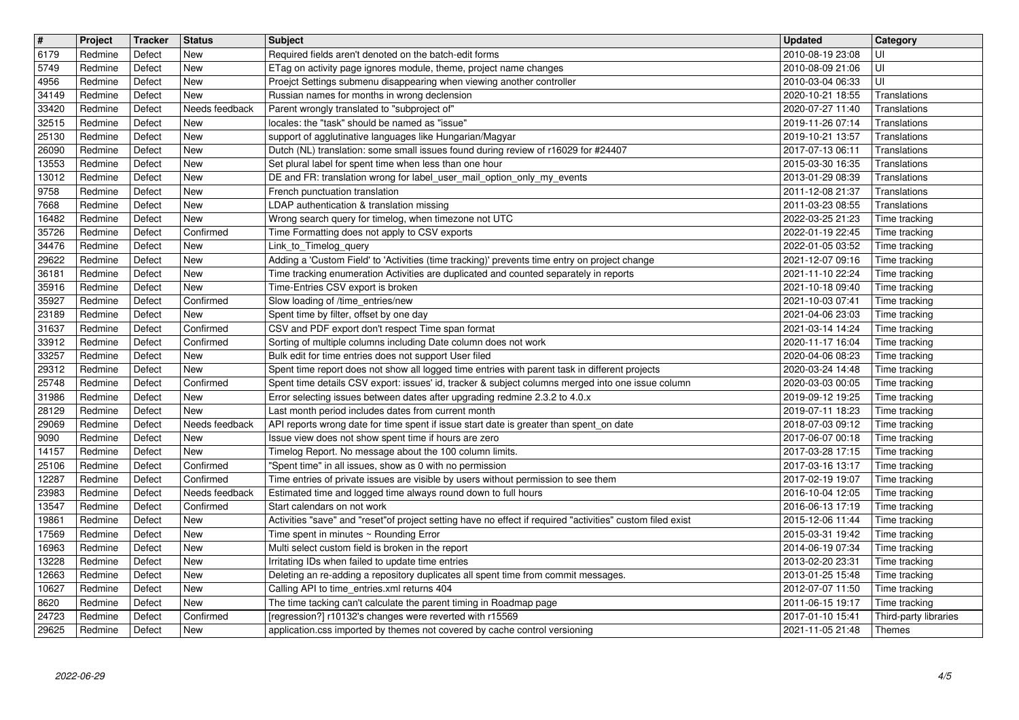| $\overline{\mathbf{H}}$ | Project            | Tracker          | <b>Status</b>               | <b>Subject</b>                                                                                                                                                                   | <b>Updated</b>                                       | Category                       |
|-------------------------|--------------------|------------------|-----------------------------|----------------------------------------------------------------------------------------------------------------------------------------------------------------------------------|------------------------------------------------------|--------------------------------|
| 6179                    | Redmine            | Defect           | New                         | Required fields aren't denoted on the batch-edit forms                                                                                                                           | 2010-08-19 23:08                                     | UI                             |
| 5749<br>4956            | Redmine<br>Redmine | Defect<br>Defect | New<br>New                  | ETag on activity page ignores module, theme, project name changes<br>Proejct Settings submenu disappearing when viewing another controller                                       | 2010-08-09 21:06<br>2010-03-04 06:33                 | UI<br>UI                       |
| 34149                   | Redmine            | Defect           | New                         | Russian names for months in wrong declension                                                                                                                                     | 2020-10-21 18:55                                     | Translations                   |
| 33420                   | Redmine            | Defect           | Needs feedback              | Parent wrongly translated to "subproject of"                                                                                                                                     | 2020-07-27 11:40                                     | Translations                   |
| 32515                   | Redmine            | Defect           | New                         | locales: the "task" should be named as "issue"                                                                                                                                   | 2019-11-26 07:14                                     | Translations                   |
| 25130<br>26090          | Redmine<br>Redmine | Defect<br>Defect | New<br>New                  | support of agglutinative languages like Hungarian/Magyar<br>Dutch (NL) translation: some small issues found during review of r16029 for #24407                                   | 2019-10-21 13:57<br>2017-07-13 06:11                 | Translations<br>Translations   |
| 13553                   | Redmine            | Defect           | New                         | Set plural label for spent time when less than one hour                                                                                                                          | 2015-03-30 16:35                                     | Translations                   |
| 13012                   | Redmine            | Defect           | New                         | DE and FR: translation wrong for label_user_mail_option_only_my_events                                                                                                           | 2013-01-29 08:39                                     | Translations                   |
| 9758                    | Redmine            | Defect           | New                         | French punctuation translation                                                                                                                                                   | 2011-12-08 21:37                                     | Translations                   |
| 7668                    | Redmine            | Defect           | New                         | LDAP authentication & translation missing                                                                                                                                        | 2011-03-23 08:55                                     | Translations                   |
| 16482<br>35726          | Redmine<br>Redmine | Defect<br>Defect | New<br>Confirmed            | Wrong search query for timelog, when timezone not UTC<br>Time Formatting does not apply to CSV exports                                                                           | 2022-03-25 21:23<br>2022-01-19 22:45                 | Time tracking<br>Time tracking |
| 34476                   | Redmine            | Defect           | New                         | Link_to_Timelog_query                                                                                                                                                            | 2022-01-05 03:52                                     | Time tracking                  |
| 29622                   | Redmine            | Defect           | New                         | Adding a 'Custom Field' to 'Activities (time tracking)' prevents time entry on project change                                                                                    | 2021-12-07 09:16                                     | Time tracking                  |
| 36181                   | Redmine            | Defect           | New                         | Time tracking enumeration Activities are duplicated and counted separately in reports                                                                                            | 2021-11-10 22:24                                     | Time tracking                  |
| 35916                   | Redmine            | Defect           | New                         | Time-Entries CSV export is broken                                                                                                                                                | 2021-10-18 09:40                                     | Time tracking                  |
| 35927<br>23189          | Redmine<br>Redmine | Defect<br>Defect | Confirmed<br>New            | Slow loading of /time_entries/new<br>Spent time by filter, offset by one day                                                                                                     | 2021-10-03 07:41<br>2021-04-06 23:03                 | Time tracking<br>Time tracking |
| 31637                   | Redmine            | Defect           | Confirmed                   | CSV and PDF export don't respect Time span format                                                                                                                                | 2021-03-14 14:24                                     | Time tracking                  |
| 33912                   | Redmine            | Defect           | Confirmed                   | Sorting of multiple columns including Date column does not work                                                                                                                  | 2020-11-17 16:04                                     | Time tracking                  |
| 33257                   | Redmine            | Defect           | New                         | Bulk edit for time entries does not support User filed                                                                                                                           | 2020-04-06 08:23                                     | Time tracking                  |
| 29312                   | Redmine            | Defect           | New                         | Spent time report does not show all logged time entries with parent task in different projects                                                                                   | 2020-03-24 14:48                                     | Time tracking                  |
| 25748<br>31986          | Redmine<br>Redmine | Defect<br>Defect | Confirmed<br>New            | Spent time details CSV export: issues' id, tracker & subject columns merged into one issue column<br>Error selecting issues between dates after upgrading redmine 2.3.2 to 4.0.x | 2020-03-03 00:05<br>2019-09-12 19:25                 | Time tracking<br>Time tracking |
| 28129                   | Redmine            | Defect           | New                         | Last month period includes dates from current month                                                                                                                              | 2019-07-11 18:23                                     | Time tracking                  |
| 29069                   | Redmine            | Defect           | Needs feedback              | API reports wrong date for time spent if issue start date is greater than spent_on date                                                                                          | 2018-07-03 09:12                                     | Time tracking                  |
| 9090                    | Redmine            | Defect           | New                         | Issue view does not show spent time if hours are zero                                                                                                                            | 2017-06-07 00:18                                     | Time tracking                  |
| 14157                   | Redmine            | Defect           | New                         | Timelog Report. No message about the 100 column limits.                                                                                                                          | 2017-03-28 17:15                                     | Time tracking                  |
| 25106                   | Redmine            | Defect           | Confirmed                   | "Spent time" in all issues, show as 0 with no permission                                                                                                                         | 2017-03-16 13:17                                     | Time tracking                  |
| 12287                   | Redmine            | Defect           | Confirmed                   | Time entries of private issues are visible by users without permission to see them                                                                                               | 2017-02-19 19:07                                     | Time tracking                  |
| 23983<br>13547          | Redmine<br>Redmine | Defect<br>Defect | Needs feedback<br>Confirmed | Estimated time and logged time always round down to full hours<br>Start calendars on not work                                                                                    | 2016-10-04 12:05<br>2016-06-13 17:19                 | Time tracking<br>Time tracking |
| 19861                   | Redmine            | Defect           | New                         | Activities "save" and "reset"of project setting have no effect if required "activities" custom filed exist                                                                       | 2015-12-06 11:44                                     | Time tracking                  |
| 17569                   | Redmine            | Defect           | New                         | Time spent in minutes ~ Rounding Error                                                                                                                                           | 2015-03-31 19:42                                     | Time tracking                  |
| 16963                   | Redmine            | Defect           | New                         | Multi select custom field is broken in the report                                                                                                                                | 2014-06-19 07:34                                     | Time tracking                  |
| 13228                   | Redmine            | Defect           | <b>New</b>                  | Irritating IDs when failed to update time entries                                                                                                                                | 2013-02-20 23:31                                     | Time tracking                  |
| 12663<br>10627          | Redmine<br>Redmine | Defect<br>Defect | New<br>New                  | Deleting an re-adding a repository duplicates all spent time from commit messages.<br>Calling API to time entries.xml returns 404                                                | 2013-01-25 15:48   Time tracking<br>2012-07-07 11:50 | Time tracking                  |
| 8620                    | Redmine            | Defect           | New                         | The time tacking can't calculate the parent timing in Roadmap page                                                                                                               | 2011-06-15 19:17                                     | Time tracking                  |
| 24723                   | Redmine            | Defect           | Confirmed                   | [regression?] r10132's changes were reverted with r15569                                                                                                                         | 2017-01-10 15:41                                     | Third-party libraries          |
| 29625                   | Redmine            | Defect           | New                         | application.css imported by themes not covered by cache control versioning                                                                                                       | 2021-11-05 21:48                                     | Themes                         |
|                         |                    |                  |                             |                                                                                                                                                                                  |                                                      |                                |
|                         |                    |                  |                             |                                                                                                                                                                                  |                                                      |                                |
|                         |                    |                  |                             |                                                                                                                                                                                  |                                                      |                                |
|                         |                    |                  |                             |                                                                                                                                                                                  |                                                      |                                |
|                         |                    |                  |                             |                                                                                                                                                                                  |                                                      |                                |
|                         |                    |                  |                             |                                                                                                                                                                                  |                                                      |                                |
|                         |                    |                  |                             |                                                                                                                                                                                  |                                                      |                                |
|                         |                    |                  |                             |                                                                                                                                                                                  |                                                      |                                |
|                         |                    |                  |                             |                                                                                                                                                                                  |                                                      |                                |
|                         |                    |                  |                             |                                                                                                                                                                                  |                                                      |                                |
|                         |                    |                  |                             |                                                                                                                                                                                  |                                                      |                                |
|                         |                    |                  |                             |                                                                                                                                                                                  |                                                      |                                |
|                         |                    |                  |                             |                                                                                                                                                                                  |                                                      |                                |
|                         |                    |                  |                             |                                                                                                                                                                                  |                                                      |                                |
|                         |                    |                  |                             |                                                                                                                                                                                  |                                                      |                                |
|                         |                    |                  |                             |                                                                                                                                                                                  |                                                      |                                |